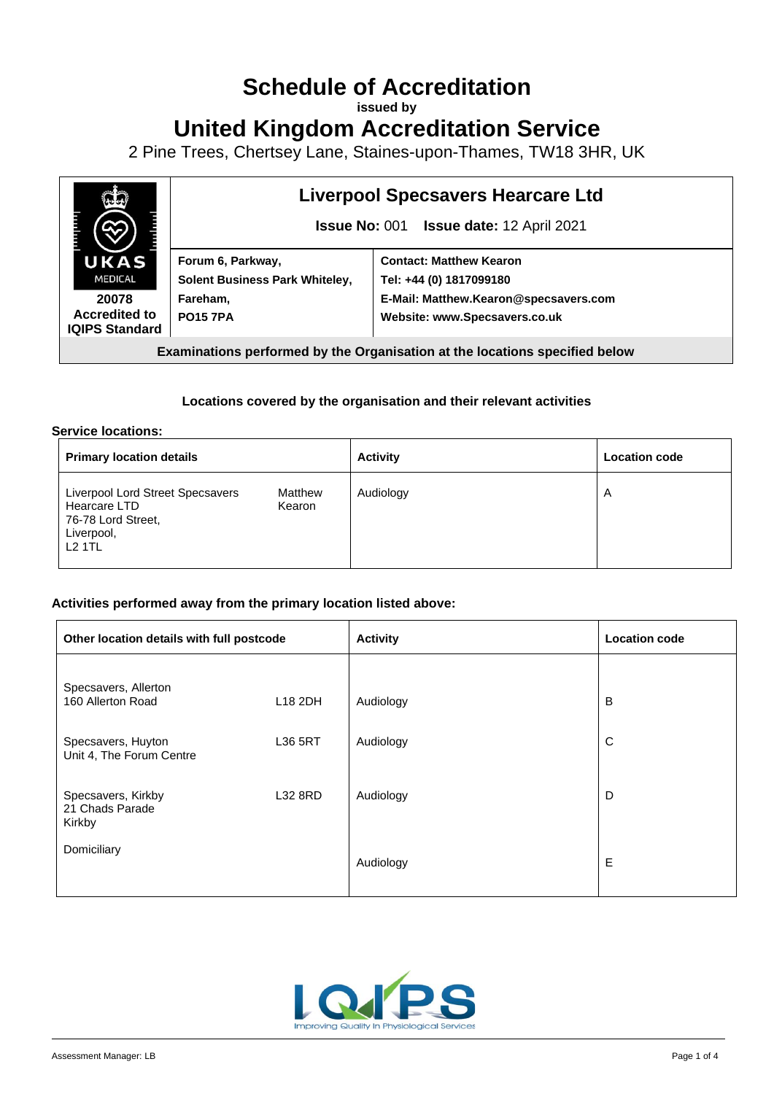# **Schedule of Accreditation**

**issued by**

**United Kingdom Accreditation Service**

2 Pine Trees, Chertsey Lane, Staines-upon-Thames, TW18 3HR, UK



# **Liverpool Specsavers Hearcare Ltd**

**Issue No:** 001 **Issue date:** 12 April 2021

|   | Forum 6, Parkway,                     | <b>Contact: Matthew Kearon</b>        |  |
|---|---------------------------------------|---------------------------------------|--|
|   | <b>Solent Business Park Whiteley,</b> | Tel: +44 (0) 1817099180               |  |
|   | Fareham,                              | E-Mail: Matthew.Kearon@specsavers.com |  |
|   | <b>PO15 7PA</b>                       | Website: www.Specsavers.co.uk         |  |
| ď |                                       |                                       |  |

**Examinations performed by the Organisation at the locations specified below**

### **Locations covered by the organisation and their relevant activities**

#### **Service locations:**

| <b>Primary location details</b>                                                                                            | <b>Activity</b> | <b>Location code</b> |
|----------------------------------------------------------------------------------------------------------------------------|-----------------|----------------------|
| Liverpool Lord Street Specsavers<br>Matthew<br>Hearcare LTD<br>Kearon<br>76-78 Lord Street,<br>Liverpool,<br><b>L2 1TL</b> | Audiology       | $\overline{A}$       |

#### **Activities performed away from the primary location listed above:**

| Other location details with full postcode       |                     | <b>Activity</b> | <b>Location code</b> |
|-------------------------------------------------|---------------------|-----------------|----------------------|
| Specsavers, Allerton<br>160 Allerton Road       | L <sub>18</sub> 2DH | Audiology       | B                    |
| Specsavers, Huyton<br>Unit 4, The Forum Centre  | L36 5RT             | Audiology       | C                    |
| Specsavers, Kirkby<br>21 Chads Parade<br>Kirkby | L32 8RD             | Audiology       | D                    |
| Domiciliary                                     |                     | Audiology       | Е                    |

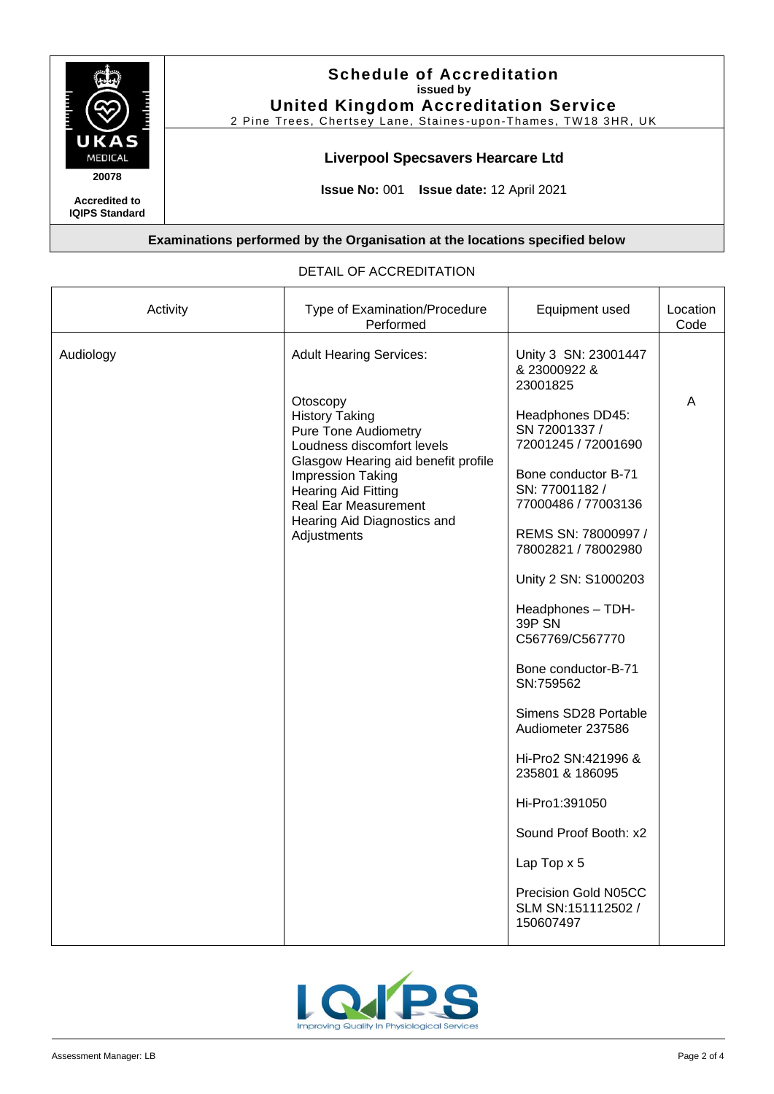

## **Schedule of Accreditation issued by United Kingdom Accreditation Service**

2 Pine Trees, Chertsey Lane, Staines-upon-Thames, TW18 3HR, UK

# **Liverpool Specsavers Hearcare Ltd**

**Issue No:** 001 **Issue date:** 12 April 2021

**Examinations performed by the Organisation at the locations specified below**

| Activity  | Type of Examination/Procedure<br>Performed                                                                                                                                                                                                                                                       | Equipment used                                                                                                                                                                                                                                                                                                                                                                                                                                                                            | Location<br>Code |
|-----------|--------------------------------------------------------------------------------------------------------------------------------------------------------------------------------------------------------------------------------------------------------------------------------------------------|-------------------------------------------------------------------------------------------------------------------------------------------------------------------------------------------------------------------------------------------------------------------------------------------------------------------------------------------------------------------------------------------------------------------------------------------------------------------------------------------|------------------|
| Audiology | <b>Adult Hearing Services:</b><br>Otoscopy<br><b>History Taking</b><br><b>Pure Tone Audiometry</b><br>Loudness discomfort levels<br>Glasgow Hearing aid benefit profile<br>Impression Taking<br><b>Hearing Aid Fitting</b><br>Real Ear Measurement<br>Hearing Aid Diagnostics and<br>Adjustments | Unity 3 SN: 23001447<br>& 23000922 &<br>23001825<br>Headphones DD45:<br>SN 72001337 /<br>72001245 / 72001690<br>Bone conductor B-71<br>SN: 77001182 /<br>77000486 / 77003136<br>REMS SN: 78000997 /<br>78002821 / 78002980<br>Unity 2 SN: S1000203<br>Headphones - TDH-<br>39P SN<br>C567769/C567770<br>Bone conductor-B-71<br>SN:759562<br>Simens SD28 Portable<br>Audiometer 237586<br>Hi-Pro2 SN:421996 &<br>235801 & 186095<br>Hi-Pro1:391050<br>Sound Proof Booth: x2<br>Lap Top x 5 | A                |
|           |                                                                                                                                                                                                                                                                                                  | Precision Gold N05CC<br>SLM SN:151112502 /<br>150607497                                                                                                                                                                                                                                                                                                                                                                                                                                   |                  |

## DETAIL OF ACCREDITATION

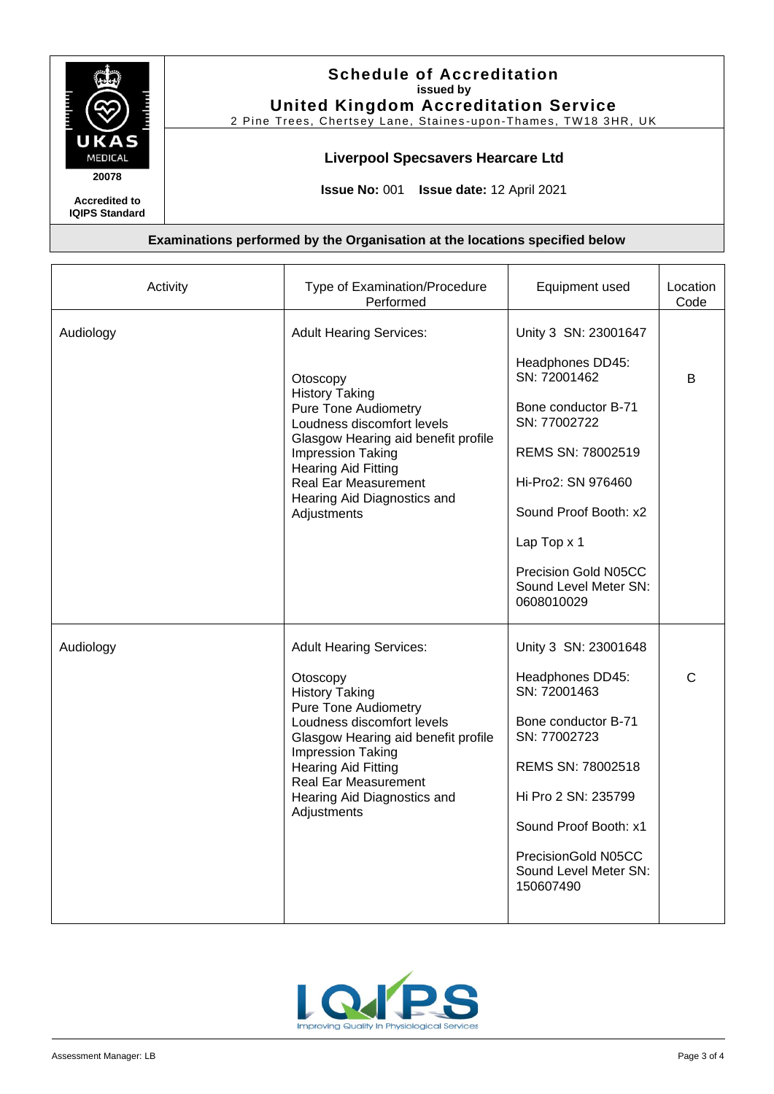

**IQIPS Standard**

# **Schedule of Accreditation issued by United Kingdom Accreditation Service**

2 Pine Trees, Chertsey Lane, Staines-upon-Thames, TW18 3HR, UK

## **Liverpool Specsavers Hearcare Ltd**

**Issue No:** 001 **Issue date:** 12 April 2021

#### **Examinations performed by the Organisation at the locations specified below**

| Activity  | Type of Examination/Procedure<br>Performed                                                                                                                                                                                                                                                              | Equipment used                                                                                                                                                                                                                                    | Location<br>Code |
|-----------|---------------------------------------------------------------------------------------------------------------------------------------------------------------------------------------------------------------------------------------------------------------------------------------------------------|---------------------------------------------------------------------------------------------------------------------------------------------------------------------------------------------------------------------------------------------------|------------------|
| Audiology | <b>Adult Hearing Services:</b><br>Otoscopy<br><b>History Taking</b><br><b>Pure Tone Audiometry</b><br>Loudness discomfort levels<br>Glasgow Hearing aid benefit profile<br>Impression Taking<br><b>Hearing Aid Fitting</b><br><b>Real Ear Measurement</b><br>Hearing Aid Diagnostics and<br>Adjustments | Unity 3 SN: 23001647<br>Headphones DD45:<br>SN: 72001462<br>Bone conductor B-71<br>SN: 77002722<br>REMS SN: 78002519<br>Hi-Pro2: SN 976460<br>Sound Proof Booth: x2<br>Lap Top x 1<br>Precision Gold N05CC<br>Sound Level Meter SN:<br>0608010029 | B                |
| Audiology | <b>Adult Hearing Services:</b><br>Otoscopy<br><b>History Taking</b><br><b>Pure Tone Audiometry</b><br>Loudness discomfort levels<br>Glasgow Hearing aid benefit profile<br>Impression Taking<br><b>Hearing Aid Fitting</b><br><b>Real Ear Measurement</b><br>Hearing Aid Diagnostics and<br>Adjustments | Unity 3 SN: 23001648<br>Headphones DD45:<br>SN: 72001463<br>Bone conductor B-71<br>SN: 77002723<br>REMS SN: 78002518<br>Hi Pro 2 SN: 235799<br>Sound Proof Booth: x1<br>PrecisionGold N05CC<br>Sound Level Meter SN:<br>150607490                 | C                |